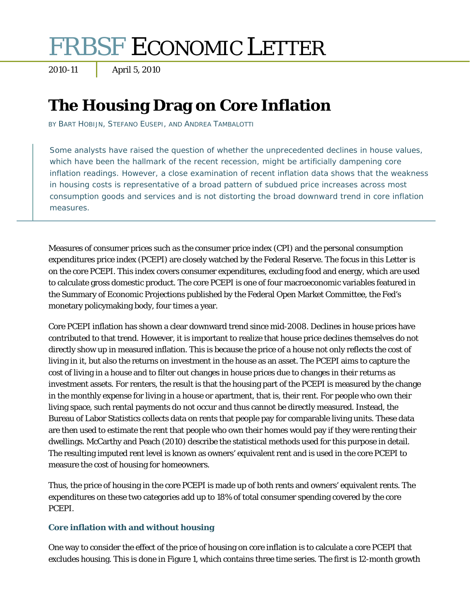# FRBSF ECONOMIC LETTER

2010-11 April 5, 2010

# **The Housing Drag on Core Inflation**

BY BART HOBIJN, STEFANO EUSEPI, AND ANDREA TAMBALOTTI

Some analysts have raised the question of whether the unprecedented declines in house values, which have been the hallmark of the recent recession, might be artificially dampening core inflation readings. However, a close examination of recent inflation data shows that the weakness in housing costs is representative of a broad pattern of subdued price increases across most consumption goods and services and is not distorting the broad downward trend in core inflation measures.

Measures of consumer prices such as the consumer price index (CPI) and the personal consumption expenditures price index (PCEPI) are closely watched by the Federal Reserve. The focus in this *Letter* is on the core PCEPI. This index covers consumer expenditures, excluding food and energy, which are used to calculate gross domestic product. The core PCEPI is one of four macroeconomic variables featured in the Summary of Economic Projections published by the Federal Open Market Committee, the Fed's monetary policymaking body, four times a year.

Core PCEPI inflation has shown a clear downward trend since mid-2008. Declines in house prices have contributed to that trend. However, it is important to realize that house price declines themselves do not directly show up in measured inflation. This is because the price of a house not only reflects the cost of living in it, but also the returns on investment in the house as an asset. The PCEPI aims to capture the cost of living in a house and to filter out changes in house prices due to changes in their returns as investment assets. For renters, the result is that the housing part of the PCEPI is measured by the change in the monthly expense for living in a house or apartment, that is, their rent. For people who own their living space, such rental payments do not occur and thus cannot be directly measured. Instead, the Bureau of Labor Statistics collects data on rents that people pay for comparable living units. These data are then used to estimate the rent that people who own their homes would pay if they were renting their dwellings. McCarthy and Peach (2010) describe the statistical methods used for this purpose in detail. The resulting imputed rent level is known as owners' equivalent rent and is used in the core PCEPI to measure the cost of housing for homeowners.

Thus, the price of housing in the core PCEPI is made up of both rents and owners' equivalent rents. The expenditures on these two categories add up to 18% of total consumer spending covered by the core PCEPI.

## **Core inflation with and without housing**

One way to consider the effect of the price of housing on core inflation is to calculate a core PCEPI that excludes housing. This is done in Figure 1, which contains three time series. The first is 12-month growth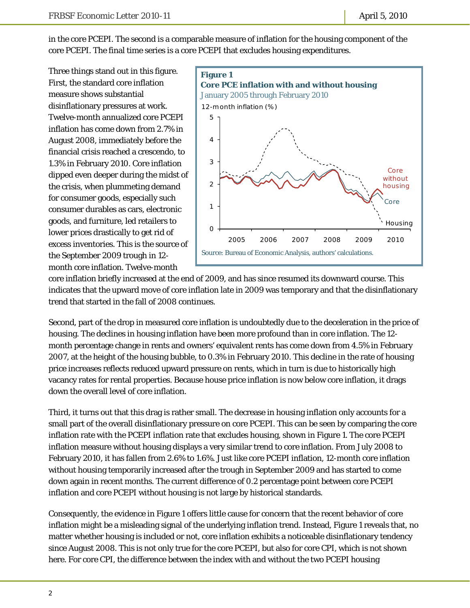in the core PCEPI. The second is a comparable measure of inflation for the housing component of the core PCEPI. The final time series is a core PCEPI that excludes housing expenditures.

Three things stand out in this figure. First, the standard core inflation measure shows substantial disinflationary pressures at work. Twelve-month annualized core PCEPI inflation has come down from 2.7% in August 2008, immediately before the financial crisis reached a crescendo, to 1.3% in February 2010. Core inflation dipped even deeper during the midst of the crisis, when plummeting demand for consumer goods, especially such consumer durables as cars, electronic goods, and furniture, led retailers to lower prices drastically to get rid of excess inventories. This is the source of the September 2009 trough in 12 month core inflation. Twelve-month



core inflation briefly increased at the end of 2009, and has since resumed its downward course. This indicates that the upward move of core inflation late in 2009 was temporary and that the disinflationary trend that started in the fall of 2008 continues.

Second, part of the drop in measured core inflation is undoubtedly due to the deceleration in the price of housing. The declines in housing inflation have been more profound than in core inflation. The 12 month percentage change in rents and owners' equivalent rents has come down from 4.5% in February 2007, at the height of the housing bubble, to 0.3% in February 2010. This decline in the rate of housing price increases reflects reduced upward pressure on rents, which in turn is due to historically high vacancy rates for rental properties. Because house price inflation is now below core inflation, it drags down the overall level of core inflation.

Third, it turns out that this drag is rather small. The decrease in housing inflation only accounts for a small part of the overall disinflationary pressure on core PCEPI. This can be seen by comparing the core inflation rate with the PCEPI inflation rate that excludes housing, shown in Figure 1. The core PCEPI inflation measure without housing displays a very similar trend to core inflation. From July 2008 to February 2010, it has fallen from 2.6% to 1.6%. Just like core PCEPI inflation, 12-month core inflation without housing temporarily increased after the trough in September 2009 and has started to come down again in recent months. The current difference of 0.2 percentage point between core PCEPI inflation and core PCEPI without housing is not large by historical standards.

Consequently, the evidence in Figure 1 offers little cause for concern that the recent behavior of core inflation might be a misleading signal of the underlying inflation trend. Instead, Figure 1 reveals that, no matter whether housing is included or not, core inflation exhibits a noticeable disinflationary tendency since August 2008. This is not only true for the core PCEPI, but also for core CPI, which is not shown here. For core CPI, the difference between the index with and without the two PCEPI housing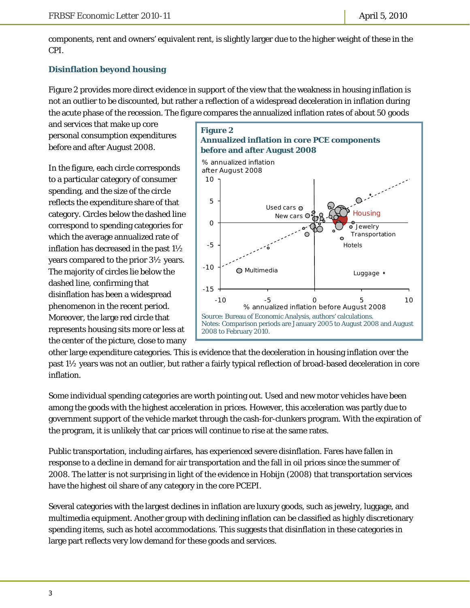components, rent and owners' equivalent rent, is slightly larger due to the higher weight of these in the CPI.

## **Disinflation beyond housing**

Figure 2 provides more direct evidence in support of the view that the weakness in housing inflation is not an outlier to be discounted, but rather a reflection of a widespread deceleration in inflation during the acute phase of the recession. The figure compares the annualized inflation rates of about 50 goods

and services that make up core personal consumption expenditures before and after August 2008.

In the figure, each circle corresponds to a particular category of consumer spending, and the size of the circle reflects the expenditure share of that category. Circles below the dashed line correspond to spending categories for which the average annualized rate of inflation has decreased in the past 1½ years compared to the prior 3½ years. The majority of circles lie below the dashed line, confirming that disinflation has been a widespread phenomenon in the recent period. Moreover, the large red circle that represents housing sits more or less at the center of the picture, close to many



other large expenditure categories. This is evidence that the deceleration in housing inflation over the past 1½ years was not an outlier, but rather a fairly typical reflection of broad-based deceleration in core inflation.

Some individual spending categories are worth pointing out. Used and new motor vehicles have been among the goods with the highest acceleration in prices. However, this acceleration was partly due to government support of the vehicle market through the cash-for-clunkers program. With the expiration of the program, it is unlikely that car prices will continue to rise at the same rates.

Public transportation, including airfares, has experienced severe disinflation. Fares have fallen in response to a decline in demand for air transportation and the fall in oil prices since the summer of 2008. The latter is not surprising in light of the evidence in Hobijn (2008) that transportation services have the highest oil share of any category in the core PCEPI.

Several categories with the largest declines in inflation are luxury goods, such as jewelry, luggage, and multimedia equipment. Another group with declining inflation can be classified as highly discretionary spending items, such as hotel accommodations. This suggests that disinflation in these categories in large part reflects very low demand for these goods and services.